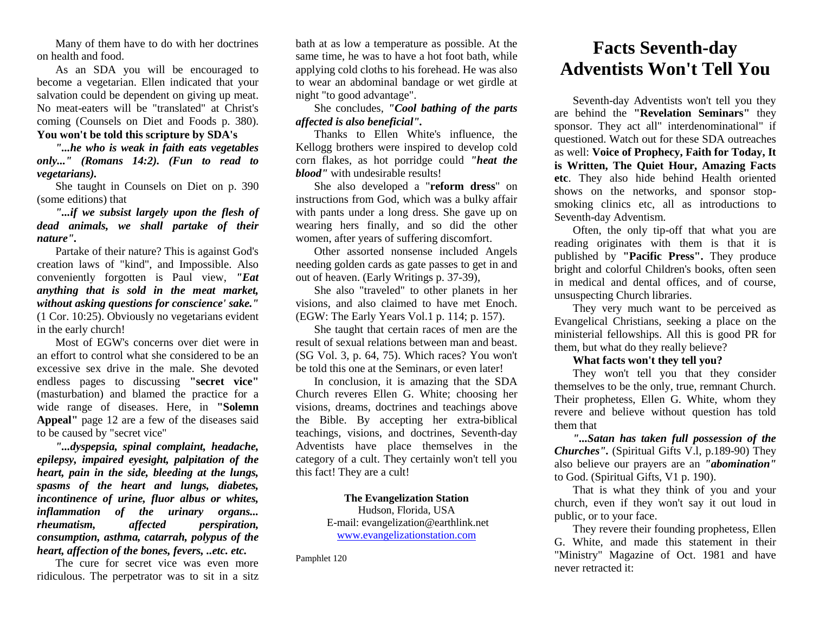Many of them have to do with her doctrines on health and food.

As an SDA you will be encouraged to become a vegetarian. Ellen indicated that your salvation could be dependent on giving up meat. No meat-eaters will be "translated" at Christ's coming (Counsels on Diet and Foods p. 380).

## **You won't be told this scripture by SDA's**

*"...he who is weak in faith eats vegetables only..." (Romans 14:2). (Fun to read to vegetarians).*

She taught in Counsels on Diet on p. 390 (some editions) that

*"...if we subsist largely upon the flesh of dead animals, we shall partake of their nature".* 

Partake of their nature? This is against God's creation laws of "kind", and Impossible. Also conveniently forgotten is Paul view, *"Eat anything that is sold in the meat market, without asking questions for conscience' sake."*  (1 Cor. 10:25). Obviously no vegetarians evident in the early church!

Most of EGW's concerns over diet were in an effort to control what she considered to be an excessive sex drive in the male. She devoted endless pages to discussing **"secret vice"** (masturbation) and blamed the practice for a wide range of diseases. Here, in **"Solemn Appeal"** page 12 are a few of the diseases said to be caused by "secret vice"

*"...dyspepsia, spinal complaint, headache, epilepsy, impaired eyesight, palpitation of the heart, pain in the side, bleeding at the lungs, spasms of the heart and lungs, diabetes, incontinence of urine, fluor albus or whites, inflammation of the urinary organs... rheumatism, affected perspiration, consumption, asthma, catarrah, polypus of the heart, affection of the bones, fevers, ..etc. etc.*

The cure for secret vice was even more ridiculous. The perpetrator was to sit in a sitz

bath at as low a temperature as possible. At the same time, he was to have a hot foot bath, while applying cold cloths to his forehead. He was also to wear an abdominal bandage or wet girdle at night "to good advantage".

She concludes, *"Cool bathing of the parts affected is also beneficial".*

Thanks to Ellen White's influence, the Kellogg brothers were inspired to develop cold corn flakes, as hot porridge could *"heat the blood"* with undesirable results!

She also developed a "**reform dress**" on instructions from God, which was a bulky affair with pants under a long dress. She gave up on wearing hers finally, and so did the other women, after years of suffering discomfort.

Other assorted nonsense included Angels needing golden cards as gate passes to get in and out of heaven. (Early Writings p. 37-39),

She also "traveled" to other planets in her visions, and also claimed to have met Enoch. (EGW: The Early Years Vol.1 p. 114; p. 157).

She taught that certain races of men are the result of sexual relations between man and beast. (SG Vol. 3, p. 64, 75). Which races? You won't be told this one at the Seminars, or even later!

In conclusion, it is amazing that the SDA Church reveres Ellen G. White; choosing her visions, dreams, doctrines and teachings above the Bible. By accepting her extra-biblical teachings, visions, and doctrines, Seventh-day Adventists have place themselves in the category of a cult. They certainly won't tell you this fact! They are a cult!

#### **The Evangelization Station**

Hudson, Florida, USA E-mail: evangelization@earthlink.net [www.evangelizationstation.com](http://www.pjpiisoe.org/)

Pamphlet 120

# **Facts Seventh-day Adventists Won't Tell You**

Seventh-day Adventists won't tell you they are behind the **"Revelation Seminars"** they sponsor. They act all" interdenominational" if questioned. Watch out for these SDA outreaches as well: **Voice of Prophecy, Faith for Today, It is Written, The Quiet Hour, Amazing Facts etc**. They also hide behind Health oriented shows on the networks, and sponsor stopsmoking clinics etc, all as introductions to Seventh-day Adventism.

Often, the only tip-off that what you are reading originates with them is that it is published by **"Pacific Press".** They produce bright and colorful Children's books, often seen in medical and dental offices, and of course, unsuspecting Church libraries.

They very much want to be perceived as Evangelical Christians, seeking a place on the ministerial fellowships. All this is good PR for them, but what do they really believe?

## **What facts won't they tell you?**

They won't tell you that they consider themselves to be the only, true, remnant Church. Their prophetess, Ellen G. White, whom they revere and believe without question has told them that

*"...Satan has taken full possession of the Churches".* (Spiritual Gifts V.l, p.189-90) They also believe our prayers are an *"abomination"* to God. (Spiritual Gifts, V1 p. 190).

That is what they think of you and your church, even if they won't say it out loud in public, or to your face.

They revere their founding prophetess, Ellen G. White, and made this statement in their "Ministry" Magazine of Oct. 1981 and have never retracted it: